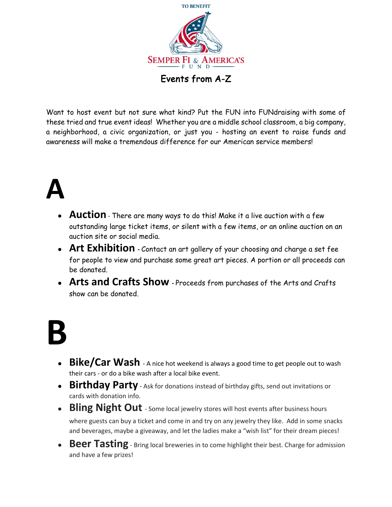

Events from A-Z

Want to host event but not sure what kind? Put the FUN into FUNdraising with some of these tried and true event ideas! Whether you are a middle school classroom, a big company, a neighborhood, a civic organization, or just you - hosting an event to raise funds and awareness will make a tremendous difference for our American service members!

#### **A**

- **Auction** There are many ways to do this! Make it a live auction with a few outstanding large ticket items, or silent with a few items, or an online auction on an auction site or social media.
- **Art Exhibition** Contact an art gallery of your choosing and charge a set fee for people to view and purchase some great art pieces. A portion or all proceeds can be donated.
- **Arts and Crafts Show** Proceeds from purchases of the Arts and Crafts show can be donated.

## **B**

- **Bike/Car Wash** A nice hot weekend is always a good time to get people out to wash their cars - or do a bike wash after a local bike event.
- **Birthday Party** Ask for donations instead of birthday gifts, send out invitations or cards with donation info.
- **Bling Night Out** Some local jewelry stores will host events after business hours

where guests can buy a ticket and come in and try on any jewelry they like. Add in some snacks and beverages, maybe a giveaway, and let the ladies make a "wish list" for their dream pieces!

**• Beer Tasting** - Bring local breweries in to come highlight their best. Charge for admission and have a few prizes!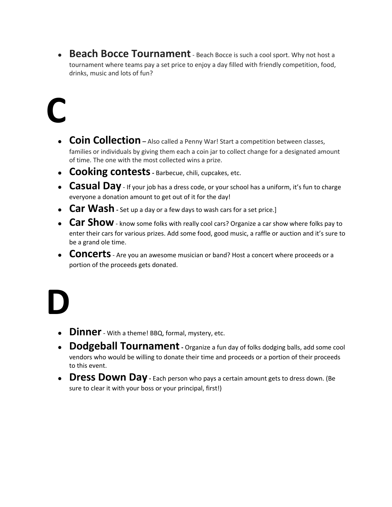**• Beach Bocce Tournament** - Beach Bocce is such a cool sport. Why not host a tournament where teams pay a set price to enjoy a day filled with friendly competition, food, drinks, music and lots of fun?

# **C**

- **Coin Collection –** Also called a Penny War! Start a competition between classes, families or individuals by giving them each a coin jar to collect change for a designated amount of time. The one with the most collected wins a prize.
- **Cooking contests** Barbecue, chili, cupcakes, etc.
- **Casual Day** If your job has a dress code, or your school has a uniform, it's fun to charge everyone a donation amount to get out of it for the day!
- **Car Wash** Set up a day or a few days to wash cars for a set price.]
- **Car Show** know some folks with really cool cars? Organize a car show where folks pay to enter their cars for various prizes. Add some food, good music, a raffle or auction and it's sure to be a grand ole time.
- **CONCETTS** Are you an awesome musician or band? Host a concert where proceeds or a portion of the proceeds gets donated.

## **D**

- **Dinner** With a theme! BBQ, formal, mystery, etc.
- **Dodgeball Tournament** Organize a fun day of folks dodging balls, add some cool vendors who would be willing to donate their time and proceeds or a portion of their proceeds to this event.
- **Dress Down Day** Each person who pays a certain amount gets to dress down. (Be sure to clear it with your boss or your principal, first!)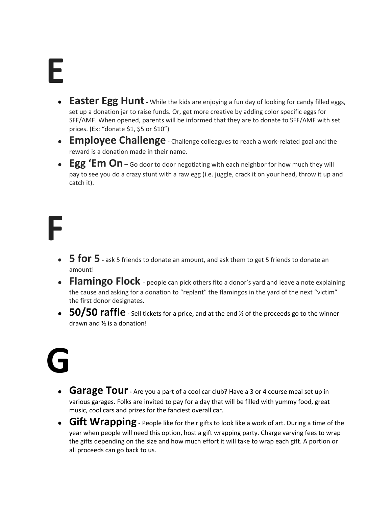#### **E**

- **Easter Egg Hunt** While the kids are enjoying a fun day of looking for candy filled eggs, set up a donation jar to raise funds. Or, get more creative by adding color specific eggs for SFF/AMF. When opened, parents will be informed that they are to donate to SFF/AMF with set prices. (Ex: "donate \$1, \$5 or \$10")
- **Employee Challenge** Challenge colleagues to reach a work-related goal and the reward is a donation made in their name.
- **Egg 'Em On** Go door to door negotiating with each neighbor for how much they will pay to see you do a crazy stunt with a raw egg (i.e. juggle, crack it on your head, throw it up and catch it).

## **F**

- **• 5 for 5** *-* ask 5 friends to donate an amount, and ask them to get 5 friends to donate an amount!
- **Flamingo Flock** people can pick others flto a donor's yard and leave a note explaining the cause and asking for a donation to "replant" the flamingos in the yard of the next "victim" the first donor designates.
- **50/50 raffle** Sell tickets for a price, and at the end  $\frac{1}{2}$  of the proceeds go to the winner drawn and ½ is a donation!

# **G**

- **Garage Tour** Are you a part of a cool car club? Have a 3 or 4 course meal set up in various garages. Folks are invited to pay for a day that will be filled with yummy food, great music, cool cars and prizes for the fanciest overall car.
- **Gift Wrapping** People like for their gifts to look like a work of art. During a time of the year when people will need this option, host a gift wrapping party. Charge varying fees to wrap the gifts depending on the size and how much effort it will take to wrap each gift. A portion or all proceeds can go back to us.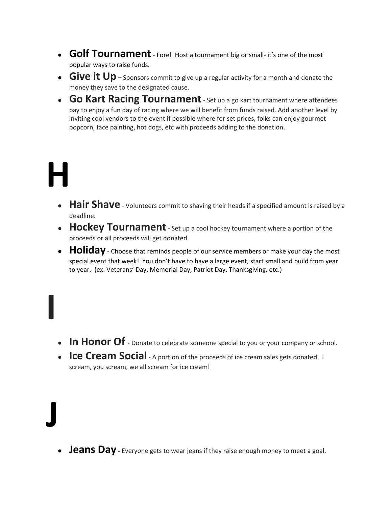- **Golf Tournament** Fore! Host a tournament big or small- it's one of the most popular ways to raise funds.
- **Give it Up** Sponsors commit to give up a regular activity for a month and donate the money they save to the designated cause.
- **Go Kart Racing Tournament** Set up a go kart tournament where attendees pay to enjoy a fun day of racing where we will benefit from funds raised. Add another level by inviting cool vendors to the event if possible where for set prices, folks can enjoy gourmet popcorn, face painting, hot dogs, etc with proceeds adding to the donation.

#### **H**

- **Hair Shave** Volunteers commit to shaving their heads if a specified amount is raised by a deadline.
- **Hockey Tournament** Set up a cool hockey tournament where a portion of the proceeds or all proceeds will get donated.
- **Holiday** Choose that reminds people of our service members or make your day the most special event that week! You don't have to have a large event, start small and build from year to year. (ex: Veterans' Day, Memorial Day, Patriot Day, Thanksgiving, etc.)

- **In Honor Of** Donate to celebrate someone special to you or your company or school.
- **Ice Cream Social** A portion of the proceeds of ice cream sales gets donated. I scream, you scream, we all scream for ice cream!

## **J**

**I** 

**• Jeans Day** - Everyone gets to wear jeans if they raise enough money to meet a goal.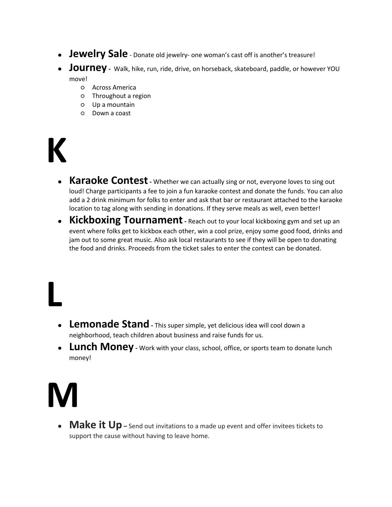- **• Jewelry Sale** Donate old jewelry- one woman's cast off is another's treasure!
- **Journey** Walk, hike, run, ride, drive, on horseback, skateboard, paddle, or however YOU move!
	- Across America
	- Throughout a region
	- Up a mountain
	- Down a coast

#### **K**

- **Karaoke Contest** Whether we can actually sing or not, everyone loves to sing out loud! Charge participants a fee to join a fun karaoke contest and donate the funds. You can also add a 2 drink minimum for folks to enter and ask that bar or restaurant attached to the karaoke location to tag along with sending in donations. If they serve meals as well, even better!
- **Kickboxing Tournament** Reach out to your local kickboxing gym and set up an event where folks get to kickbox each other, win a cool prize, enjoy some good food, drinks and jam out to some great music. Also ask local restaurants to see if they will be open to donating the food and drinks. Proceeds from the ticket sales to enter the contest can be donated.

- **Lemonade Stand** This super simple, yet delicious idea will cool down a neighborhood, teach children about business and raise funds for us.
- **Lunch Money** Work with your class, school, office, or sports team to donate lunch money!

#### **M**

**L** 

• **Make it Up** – Send out invitations to a made up event and offer invitees tickets to support the cause without having to leave home.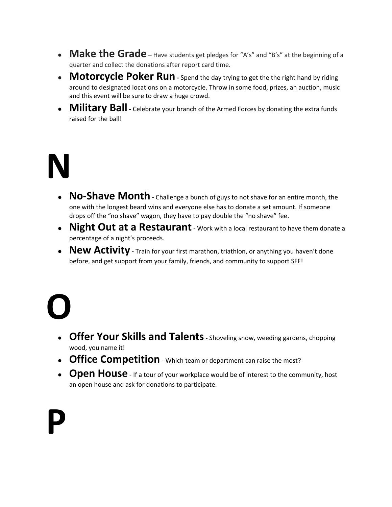- Make the Grade Have students get pledges for "A's" and "B's" at the beginning of a quarter and collect the donations after report card time.
- **Motorcycle Poker Run** Spend the day trying to get the the right hand by riding around to designated locations on a motorcycle. Throw in some food, prizes, an auction, music and this event will be sure to draw a huge crowd.
- **Military Ball** Celebrate your branch of the Armed Forces by donating the extra funds raised for the ball!

#### **N**

- **No-Shave Month** Challenge a bunch of guys to not shave for an entire month, the one with the longest beard wins and everyone else has to donate a set amount. If someone drops off the "no shave" wagon, they have to pay double the "no shave" fee.
- **Night Out at a Restaurant** Work with a local restaurant to have them donate a percentage of a night's proceeds.
- New Activity Train for your first marathon, triathlon, or anything you haven't done before, and get support from your family, friends, and community to support SFF!

# **O**

- **Offer Your Skills and Talents** Shoveling snow, weeding gardens, chopping wood, you name it!
- **Office Competition** Which team or department can raise the most?
- **Open House** If a tour of your workplace would be of interest to the community, host an open house and ask for donations to participate.

**P**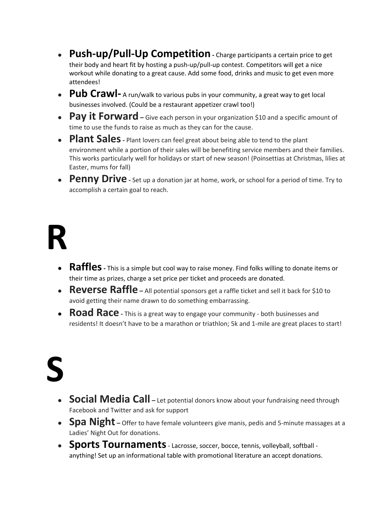- **Push-up/Pull-Up Competition** Charge participants a certain price to get their body and heart fit by hosting a push-up/pull-up contest. Competitors will get a nice workout while donating to a great cause. Add some food, drinks and music to get even more attendees!
- **Pub Crawl-** A run/walk to various pubs in your community, a great way to get local businesses involved. (Could be a restaurant appetizer crawl too!)
- **Pay it Forward** Give each person in your organization \$10 and a specific amount of time to use the funds to raise as much as they can for the cause.
- **Plant Sales** Plant lovers can feel great about being able to tend to the plant environment while a portion of their sales will be benefiting service members and their families. This works particularly well for holidays or start of new season! (Poinsettias at Christmas, lilies at Easter, mums for fall)
- **Penny Drive** Set up a donation jar at home, work, or school for a period of time. Try to accomplish a certain goal to reach.

# **R**

- **Raffles** This is a simple but cool way to raise money. Find folks willing to donate items or their time as prizes, charge a set price per ticket and proceeds are donated.
- **Reverse Raffle –** All potential sponsors get a raffle ticket and sell it back for \$10 to avoid getting their name drawn to do something embarrassing.
- **Road Race** This is a great way to engage your community both businesses and residents! It doesn't have to be a marathon or triathlon; 5k and 1-mile are great places to start!

# **S**

- **Social Media Call** Let potential donors know about your fundraising need through Facebook and Twitter and ask for support
- **Spa Night** Offer to have female volunteers give manis, pedis and 5-minute massages at a Ladies' Night Out for donations.
- **Sports Tournaments** Lacrosse, soccer, bocce, tennis, volleyball, softball anything! Set up an informational table with promotional literature an accept donations.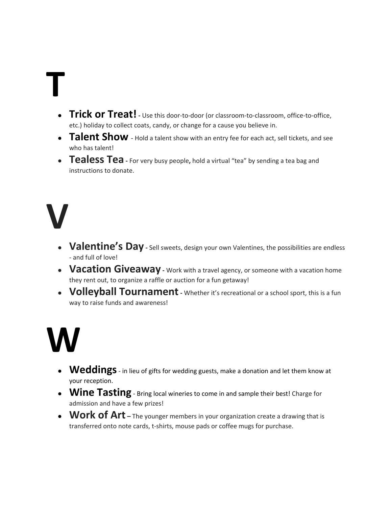# **T**

- **Trick or Treat!** Use this door-to-door (or classroom-to-classroom, office-to-office, etc.) holiday to collect coats, candy, or change for a cause you believe in.
- **Talent Show** Hold a talent show with an entry fee for each act, sell tickets, and see who has talent!
- **Tealess Tea -** For very busy people**,** hold a virtual "tea" by sending a tea bag and instructions to donate.

### **V**

- Valentine's Day Sell sweets, design your own Valentines, the possibilities are endless - and full of love!
- **Vacation Giveaway** Work with a travel agency, or someone with a vacation home they rent out, to organize a raffle or auction for a fun getaway!
- **Volleyball Tournament** Whether it's recreational or a school sport, this is a fun way to raise funds and awareness!

## **W**

- **Weddings** in lieu of gifts for wedding guests, make a donation and let them know at your reception.
- **Wine Tasting** Bring local wineries to come in and sample their best! Charge for admission and have a few prizes!
- **Work of Art** The younger members in your organization create a drawing that is transferred onto note cards, t-shirts, mouse pads or coffee mugs for purchase.